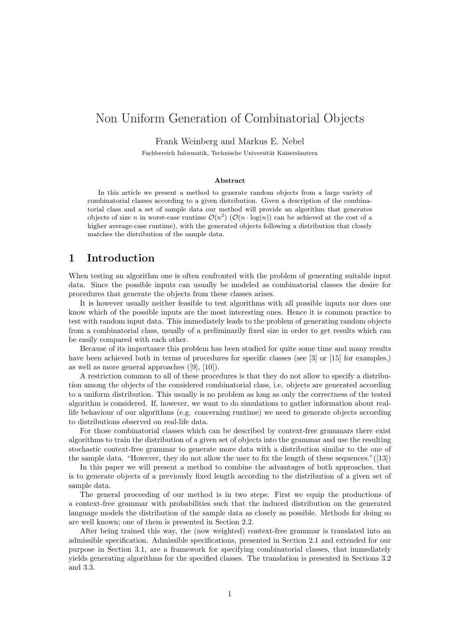# Non Uniform Generation of Combinatorial Objects

Frank Weinberg and Markus E. Nebel

Fachbereich Informatik, Technische Universität Kaiserslautern

#### Abstract

In this article we present a method to generate random objects from a large variety of combinatorial classes according to a given distribution. Given a description of the combinatorial class and a set of sample data our method will provide an algorithm that generates objects of size n in worst-case runtime  $\mathcal{O}(n^2)$   $(\mathcal{O}(n \cdot \log(n))$  can be achieved at the cost of a higher average-case runtime), with the generated objects following a distribution that closely matches the distribution of the sample data.

### 1 Introduction

When testing an algorithm one is often confronted with the problem of generating suitable input data. Since the possible inputs can usually be modeled as combinatorial classes the desire for procedures that generate the objects from these classes arises.

It is however usually neither feasible to test algorithms with all possible inputs nor does one know which of the possible inputs are the most interesting ones. Hence it is common practice to test with random input data. This immediately leads to the problem of generating random objects from a combinatorial class, usually of a preliminarily fixed size in order to get results which can be easily compared with each other.

Because of its importance this problem has been studied for quite some time and many results have been achieved both in terms of procedures for specific classes (see [3] or [15] for examples,) as well as more general approaches ([9], [10]).

A restriction common to all of these procedures is that they do not allow to specify a distribution among the objects of the considered combinatorial class, i.e. objects are generated according to a uniform distribution. This usually is no problem as long as only the correctness of the tested algorithm is considered. If, however, we want to do simulations to gather information about reallife behaviour of our algorithms (e.g. concerning runtime) we need to generate objects according to distributions observed on real-life data.

For those combinatorial classes which can be described by context-free grammars there exist algorithms to train the distribution of a given set of objects into the grammar and use the resulting stochastic context-free grammar to generate more data with a distribution similar to the one of the sample data. "However, they do not allow the user to fix the length of these sequences."([13])

In this paper we will present a method to combine the advantages of both approaches, that is to generate objects of a previously fixed length according to the distribution of a given set of sample data.

The general proceeding of our method is in two steps: First we equip the productions of a context-free grammar with probabilities such that the induced distribution on the generated language models the distribution of the sample data as closely as possible. Methods for doing so are well known; one of them is presented in Section 2.2.

After being trained this way, the (now weighted) context-free grammar is translated into an admissible specification. Admissible specifications, presented in Section 2.1 and extended for our purpose in Section 3.1, are a framework for specifying combinatorial classes, that immediately yields generating algorithms for the specified classes. The translation is presented in Sections 3.2 and 3.3.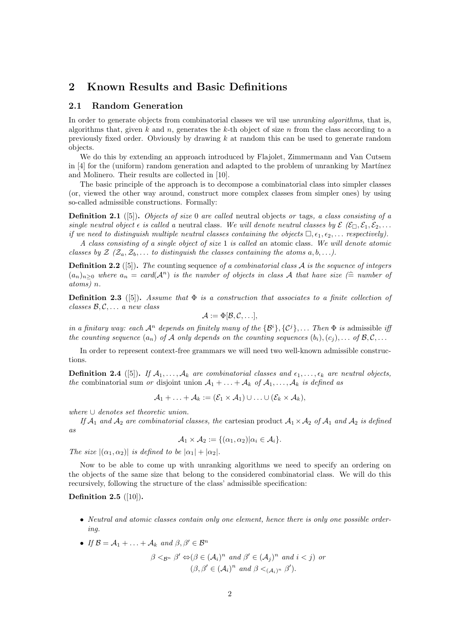# 2 Known Results and Basic Definitions

### 2.1 Random Generation

In order to generate objects from combinatorial classes we wil use *unranking algorithms*, that is, algorithms that, given k and n, generates the k-th object of size n from the class according to a previously fixed order. Obviously by drawing  $k$  at random this can be used to generate random objects.

We do this by extending an approach introduced by Flajolet, Zimmermann and Van Cutsem in  $|4|$  for the (uniform) random generation and adapted to the problem of unranking by Martínez and Molinero. Their results are collected in [10].

The basic principle of the approach is to decompose a combinatorial class into simpler classes (or, viewed the other way around, construct more complex classes from simpler ones) by using so-called admissible constructions. Formally:

**Definition 2.1** ([5]). Objects of size 0 are called neutral objects or tags, a class consisting of a single neutral object  $\epsilon$  is called a neutral class. We will denote neutral classes by  $\mathcal{E}(\mathcal{E}_\Box,\mathcal{E}_1,\mathcal{E}_2,\ldots)$ if we need to distinguish multiple neutral classes containing the objects  $\Box$ ,  $\epsilon_1, \epsilon_2, \ldots$  respectively).

A class consisting of a single object of size 1 is called an atomic class. We will denote atomic classes by  $\mathcal{Z}$  ( $\mathcal{Z}_a, \mathcal{Z}_b, \ldots$  to distinguish the classes containing the atoms  $a, b, \ldots$ ).

**Definition 2.2** ([5]). The counting sequence of a combinatorial class  $A$  is the sequence of integers  $(a_n)_{n>0}$  where  $a_n = \text{card}(\mathcal{A}^n)$  is the number of objects in class A that have size  $(\hat{=} \text{ number of})$ atoms) n.

**Definition 2.3** ([5]). Assume that  $\Phi$  is a construction that associates to a finite collection of classes  $\mathcal{B}, \mathcal{C}, \ldots$  a new class

$$
\mathcal{A} := \Phi[\mathcal{B}, \mathcal{C}, \ldots],
$$

in a finitary way: each  $\mathcal{A}^n$  depends on finitely many of the  $\{\mathcal{B}^i\}, \{\mathcal{C}^j\}, \ldots$  Then  $\Phi$  is admissible iff the counting sequence  $(a_n)$  of A only depends on the counting sequences  $(b_i), (c_j), \ldots$  of  $\mathcal{B}, \mathcal{C}, \ldots$ 

In order to represent context-free grammars we will need two well-known admissible constructions.

**Definition 2.4** ([5]). If  $A_1, \ldots, A_k$  are combinatorial classes and  $\epsilon_1, \ldots, \epsilon_k$  are neutral objects, the combinatorial sum or disjoint union  $A_1 + \ldots + A_k$  of  $A_1, \ldots, A_k$  is defined as

$$
\mathcal{A}_1 + \ldots + \mathcal{A}_k := (\mathcal{E}_1 \times \mathcal{A}_1) \cup \ldots \cup (\mathcal{E}_k \times \mathcal{A}_k),
$$

where ∪ denotes set theoretic union.

If  $\mathcal{A}_1$  and  $\mathcal{A}_2$  are combinatorial classes, the cartesian product  $\mathcal{A}_1 \times \mathcal{A}_2$  of  $\mathcal{A}_1$  and  $\mathcal{A}_2$  is defined as

$$
\mathcal{A}_1 \times \mathcal{A}_2 := \{(\alpha_1, \alpha_2) | \alpha_i \in \mathcal{A}_i\}.
$$

The size  $|(\alpha_1, \alpha_2)|$  is defined to be  $|\alpha_1| + |\alpha_2|$ .

Now to be able to come up with unranking algorithms we need to specify an ordering on the objects of the same size that belong to the considered combinatorial class. We will do this recursively, following the structure of the class' admissible specification:

### Definition 2.5  $([10])$ .

- Neutral and atomic classes contain only one element, hence there is only one possible ordering.
- If  $\mathcal{B} = \mathcal{A}_1 + \ldots + \mathcal{A}_k$  and  $\beta, \beta' \in \mathcal{B}^n$

$$
\beta <_{\mathcal{B}^n} \beta' \Leftrightarrow (\beta \in (\mathcal{A}_i)^n \text{ and } \beta' \in (\mathcal{A}_j)^n \text{ and } i < j) \text{ or}
$$
  

$$
(\beta, \beta' \in (\mathcal{A}_i)^n \text{ and } \beta <_{(\mathcal{A}_i)^n} \beta').
$$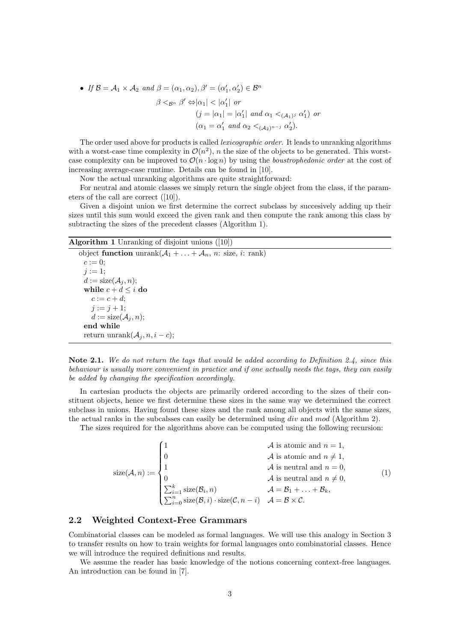• If 
$$
\mathcal{B} = \mathcal{A}_1 \times \mathcal{A}_2
$$
 and  $\beta = (\alpha_1, \alpha_2), \beta' = (\alpha'_1, \alpha'_2) \in \mathcal{B}^n$   
\n
$$
\beta <_{\mathcal{B}^n} \beta' \Leftrightarrow |\alpha_1| < |\alpha'_1| \text{ or}
$$
\n
$$
(j = |\alpha_1| = |\alpha'_1| \text{ and } \alpha_1 <_{(\mathcal{A}_1)^j} \alpha'_1) \text{ or}
$$
\n
$$
(\alpha_1 = \alpha'_1 \text{ and } \alpha_2 <_{(\mathcal{A}_2)^{n-j}} \alpha'_2).
$$

The order used above for products is called *lexicographic order*. It leads to unranking algorithms with a worst-case time complexity in  $\mathcal{O}(n^2)$ , n the size of the objects to be generated. This worstcase complexity can be improved to  $\mathcal{O}(n \cdot \log n)$  by using the *boustrophedonic order* at the cost of increasing average-case runtime. Details can be found in [10].

Now the actual unranking algorithms are quite straightforward:

For neutral and atomic classes we simply return the single object from the class, if the parameters of the call are correct ([10]).

Given a disjoint union we first determine the correct subclass by succesively adding up their sizes until this sum would exceed the given rank and then compute the rank among this class by subtracting the sizes of the precedent classes (Algorithm 1).

### Algorithm 1 Unranking of disjoint unions ([10])

```
object function \text{unrank}(\mathcal{A}_1 + \ldots + \mathcal{A}_n, n: \text{ size}, i: \text{ rank})c := 0;j := 1;d := \text{size}(\mathcal{A}_i, n);while c + d \leq i do
   c := c + d;j := j + 1;d := \text{size}(\mathcal{A}_j, n);end while
return unrank(\mathcal{A}_j, n, i-c);
```
Note 2.1. We do not return the tags that would be added according to Definition 2.4, since this behaviour is usually more convenient in practice and if one actually needs the tags, they can easily be added by changing the specification accordingly.

In cartesian products the objects are primarily ordered according to the sizes of their constituent objects, hence we first determine these sizes in the same way we determined the correct subclass in unions. Having found these sizes and the rank among all objects with the same sizes, the actual ranks in the subcalsses can easily be determined using div and mod (Algorithm 2).

The sizes required for the algorithms above can be computed using the following recursion:

$$
\text{size}(\mathcal{A}, n) := \begin{cases} 1 & \mathcal{A} \text{ is atomic and } n = 1, \\ 0 & \mathcal{A} \text{ is atomic and } n \neq 1, \\ 1 & \mathcal{A} \text{ is neutral and } n = 0, \\ 0 & \mathcal{A} \text{ is neutral and } n = 0, \\ \sum_{i=1}^{k} \text{size}(\mathcal{B}_i, n) & \mathcal{A} = \mathcal{B}_1 + \dots + \mathcal{B}_k, \\ \sum_{i=0}^{n} \text{size}(\mathcal{B}, i) \cdot \text{size}(\mathcal{C}, n - i) & \mathcal{A} = \mathcal{B} \times \mathcal{C}. \end{cases}
$$
(1)

#### 2.2 Weighted Context-Free Grammars

Combinatorial classes can be modeled as formal languages. We will use this analogy in Section 3 to transfer results on how to train weights for formal languages onto combinatorial classes. Hence we will introduce the required definitions and results.

We assume the reader has basic knowledge of the notions concerning context-free languages. An introduction can be found in [7].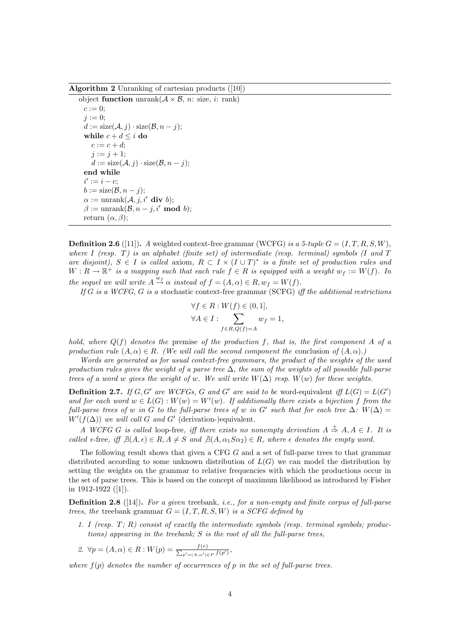Algorithm 2 Unranking of cartesian products ([10])

```
object function unrank(A \times B, n: \text{ size}, i: \text{ rank})c := 0;i := 0:
d := \text{size}(\mathcal{A}, j) \cdot \text{size}(\mathcal{B}, n - j);while c + d \leq i do
    c := c + d;j := j + 1;d := \text{size}(\mathcal{A}, j) \cdot \text{size}(\mathcal{B}, n - j);end while
 i' := i - c;b := \text{size}(\mathcal{B}, n - j);\alpha := \text{unrank}(\mathcal{A}, j, i' \text{ div } b);\beta := \text{unrank}(\mathcal{B}, n-j, i' \text{ mod } b);return (\alpha, \beta);
```
**Definition 2.6** ([11]). A weighted context-free grammar (WCFG) is a 5-tuple  $G = (I, T, R, S, W)$ . where I (resp. T) is an alphabet (finite set) of intermediate (resp. terminal) symbols (I and  $T$ are disjoint),  $S \in I$  is called axiom,  $R \subset I \times (I \cup T)^*$  is a finite set of production rules and  $W: R \to \mathbb{R}^+$  is a mapping such that each rule  $f \in R$  is equipped with a weight  $w_f := W(f)$ . In the sequel we will write  $A \stackrel{w_f}{\rightarrow} \alpha$  instead of  $f = (A, \alpha) \in R, w_f = W(f)$ .

If G is a WCFG, G is a stochastic context-free grammar  $(SCFG)$  iff the additional restrictions

$$
\forall f \in R : W(f) \in (0, 1],
$$
  

$$
\forall A \in I : \sum_{f \in R, Q(f) = A} w_f = 1,
$$

hold, where  $Q(f)$  denotes the premise of the production f, that is, the first component A of a production rule  $(A, \alpha) \in R$ . (We will call the second component the conclusion of  $(A, \alpha)$ .)

Words are generated as for usual context-free grammars, the product of the weights of the used production rules gives the weight of a parse tree  $\Delta$ , the sum of the weights of all possible full-parse trees of a word w gives the weight of w. We will write  $W(\Delta)$  resp.  $W(w)$  for these weights.

**Definition 2.7.** If  $G, G'$  are WCFGs, G and G' are said to be word-equivalent iff  $L(G) = L(G')$ and for each word  $w \in L(G)$ :  $W(w) = W'(w)$ . If additionally there exists a bijection f from the full-parse trees of w in G to the full-parse trees of w in G' such that for each tree  $\Delta$ :  $W(\Delta)$  =  $W'(f(\Delta))$  we will call G and G' (derivation-)equivalent.

A WCFG G is called loop-free, iff there exists no nonempty derivation  $A \stackrel{+}{\Rightarrow} A, A \in I$ . It is called  $\epsilon$ -free, iff  $\exists (A, \epsilon) \in R$ ,  $A \neq S$  and  $\exists (A, \alpha_1 S \alpha_2) \in R$ , where  $\epsilon$  denotes the empty word.

The following result shows that given a CFG G and a set of full-parse trees to that grammar distributed according to some unknown distribution of  $L(G)$  we can model the distribution by setting the weights on the grammar to relative frequencies with which the productions occur in the set of parse trees. This is based on the concept of maximum likelihood as introduced by Fisher in 1912-1922 ([1]).

**Definition 2.8** ([14]). For a given treebank, i.e., for a non-empty and finite corpus of full-parse trees, the treebank grammar  $G = (I, T, R, S, W)$  is a SCFG defined by

- 1. I (resp.  $T; R$ ) consist of exactly the intermediate symbols (resp. terminal symbols; productions) appearing in the treebank; S is the root of all the full-parse trees,
- 2.  $\forall p = (A, \alpha) \in R : W(p) = \frac{f(r)}{\sum_{p' = (A, \alpha')}}$  $\frac{f(r)}{p' = (A, \alpha') \in P} \frac{f(p')}{f(p')},$

where  $f(p)$  denotes the number of occurrences of p in the set of full-parse trees.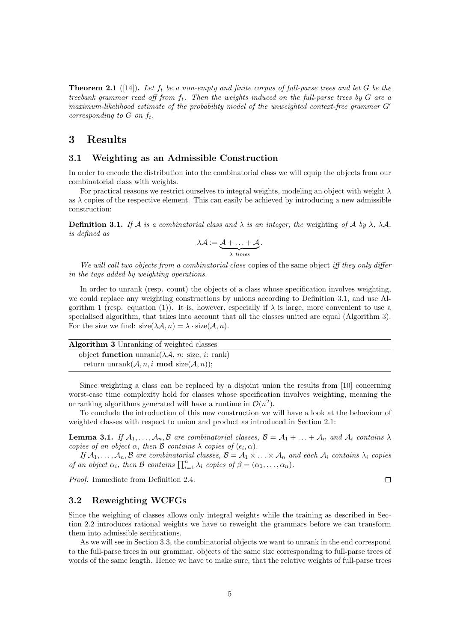**Theorem 2.1** ([14]). Let  $f_t$  be a non-empty and finite corpus of full-parse trees and let G be the treebank grammar read off from  $f_t$ . Then the weights induced on the full-parse trees by  $G$  are a maximum-likelihood estimate of the probability model of the unweighted context-free grammar  $G'$ corresponding to  $G$  on  $f_t$ .

### 3 Results

#### 3.1 Weighting as an Admissible Construction

In order to encode the distribution into the combinatorial class we will equip the objects from our combinatorial class with weights.

For practical reasons we restrict ourselves to integral weights, modeling an object with weight  $\lambda$ as  $\lambda$  copies of the respective element. This can easily be achieved by introducing a new admissible construction:

**Definition 3.1.** If A is a combinatorial class and  $\lambda$  is an integer, the weighting of A by  $\lambda$ ,  $\lambda$ A, is defined as

$$
\lambda \mathcal{A} := \underbrace{\mathcal{A} + \ldots + \mathcal{A}}_{\lambda \ times}.
$$

We will call two objects from a combinatorial class copies of the same object iff they only differ in the tags added by weighting operations.

In order to unrank (resp. count) the objects of a class whose specification involves weighting, we could replace any weighting constructions by unions according to Definition 3.1, and use Algorithm 1 (resp. equation (1)). It is, however, especially if  $\lambda$  is large, more convenient to use a specialised algorithm, that takes into account that all the classes united are equal (Algorithm 3). For the size we find:  $size(\lambda \mathcal{A}, n) = \lambda \cdot size(\mathcal{A}, n)$ .

| <b>Algorithm 3</b> Unranking of weighted classes                               |  |
|--------------------------------------------------------------------------------|--|
| object function unrank $(\lambda \mathcal{A}, n: \text{size}, i: \text{rank})$ |  |
| return unrank $(A, n, i \mod size(A, n));$                                     |  |

Since weighting a class can be replaced by a disjoint union the results from [10] concerning worst-case time complexity hold for classes whose specification involves weighting, meaning the unranking algorithms generated will have a runtime in  $\mathcal{O}(n^2)$ .

To conclude the introduction of this new construction we will have a look at the behaviour of weighted classes with respect to union and product as introduced in Section 2.1:

**Lemma 3.1.** If  $A_1, \ldots, A_n, B$  are combinatorial classes,  $B = A_1 + \ldots + A_n$  and  $A_i$  contains  $\lambda$ copies of an object  $\alpha$ , then B contains  $\lambda$  copies of  $(\epsilon_i, \alpha)$ .

If  $A_1, \ldots, A_n, B$  are combinatorial classes,  $B = A_1 \times \ldots \times A_n$  and each  $A_i$  contains  $\lambda_i$  copies of an object  $\alpha_i$ , then B contains  $\prod_{i=1}^n \lambda_i$  copies of  $\beta = (\alpha_1, \ldots, \alpha_n)$ .

Proof. Immediate from Definition 2.4.

### 3.2 Reweighting WCFGs

Since the weighing of classes allows only integral weights while the training as described in Section 2.2 introduces rational weights we have to reweight the grammars before we can transform them into admissible secifications.

As we will see in Section 3.3, the combinatorial objects we want to unrank in the end correspond to the full-parse trees in our grammar, objects of the same size corresponding to full-parse trees of words of the same length. Hence we have to make sure, that the relative weights of full-parse trees

 $\Box$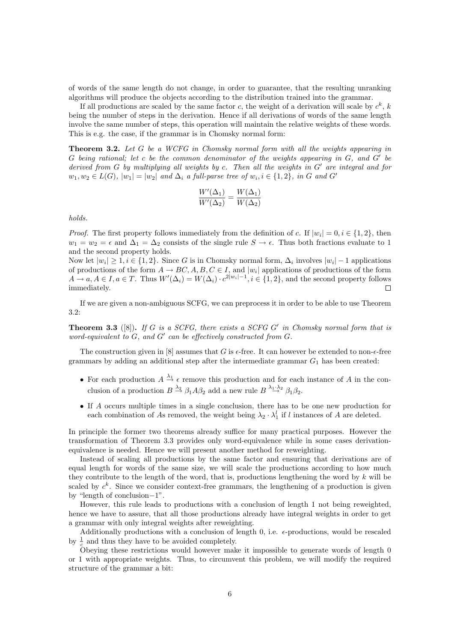of words of the same length do not change, in order to guarantee, that the resulting unranking algorithms will produce the objects according to the distribution trained into the grammar.

If all productions are scaled by the same factor c, the weight of a derivation will scale by  $c^k$ , k being the number of steps in the derivation. Hence if all derivations of words of the same length involve the same number of steps, this operation will maintain the relative weights of these words. This is e.g. the case, if the grammar is in Chomsky normal form:

**Theorem 3.2.** Let G be a WCFG in Chomsky normal form with all the weights appearing in  $G$  being rational; let c be the common denominator of the weights appearing in  $G$ , and  $G'$  be derived from  $G$  by multiplying all weights by  $c$ . Then all the weights in  $G'$  are integral and for  $w_1, w_2 \in L(G)$ ,  $|w_1| = |w_2|$  and  $\Delta_i$  a full-parse tree of  $w_i, i \in \{1, 2\}$ , in G and G'

$$
\frac{W'(\Delta_1)}{W'(\Delta_2)} = \frac{W(\Delta_1)}{W(\Delta_2)}
$$

holds.

*Proof.* The first property follows immediately from the definition of c. If  $|w_i| = 0, i \in \{1, 2\}$ , then  $w_1 = w_2 = \epsilon$  and  $\Delta_1 = \Delta_2$  consists of the single rule  $S \to \epsilon$ . Thus both fractions evaluate to 1 and the second property holds.

Now let  $|w_i| \geq 1, i \in \{1, 2\}$ . Since G is in Chomsky normal form,  $\Delta_i$  involves  $|w_i| - 1$  applications of productions of the form  $A \to BC$ ,  $A, B, C \in I$ , and  $|w_i|$  applications of productions of the form  $A \to a, A \in I, a \in T$ . Thus  $W'(\Delta_i) = W(\Delta_i) \cdot c^{2|w_i|-1}, i \in \{1,2\}$ , and the second property follows immediately.  $\Box$ 

If we are given a non-ambiguous SCFG, we can preprocess it in order to be able to use Theorem 3.2:

**Theorem 3.3** ([8]). If G is a SCFG, there exists a SCFG G' in Chomsky normal form that is word-equivalent to  $G$ , and  $G'$  can be effectively constructed from  $G$ .

The construction given in  $[8]$  assumes that G is  $\epsilon$ -free. It can however be extended to non- $\epsilon$ -free grammars by adding an additional step after the intermediate grammar  $G_1$  has been created:

- For each production  $A \stackrel{\lambda_1}{\rightarrow} \epsilon$  remove this production and for each instance of A in the conclusion of a production  $B \stackrel{\lambda_2}{\rightarrow} \beta_1 A \beta_2$  add a new rule  $B \stackrel{\lambda_1, \lambda_2}{\rightarrow} \beta_1 \beta_2$ .
- If A occurs multiple times in a single conclusion, there has to be one new production for each combination of As removed, the weight being  $\lambda_2 \cdot \lambda_1^l$  if l instances of A are deleted.

In principle the former two theorems already suffice for many practical purposes. However the transformation of Theorem 3.3 provides only word-equivalence while in some cases derivationequivalence is needed. Hence we will present another method for reweighting.

Instead of scaling all productions by the same factor and ensuring that derivations are of equal length for words of the same size, we will scale the productions according to how much they contribute to the length of the word, that is, productions lengthening the word by  $k$  will be scaled by  $c^k$ . Since we consider context-free grammars, the lengthening of a production is given by "length of conclusion−1".

However, this rule leads to productions with a conclusion of length 1 not being reweighted, hence we have to assure, that all those productions already have integral weights in order to get a grammar with only integral weights after reweighting.

Additionally productions with a conclusion of length 0, i.e.  $\epsilon$ -productions, would be rescaled by  $\frac{1}{c}$  and thus they have to be avoided completely.

Obeying these restrictions would however make it impossible to generate words of length 0 or 1 with appropriate weights. Thus, to circumvent this problem, we will modify the required structure of the grammar a bit: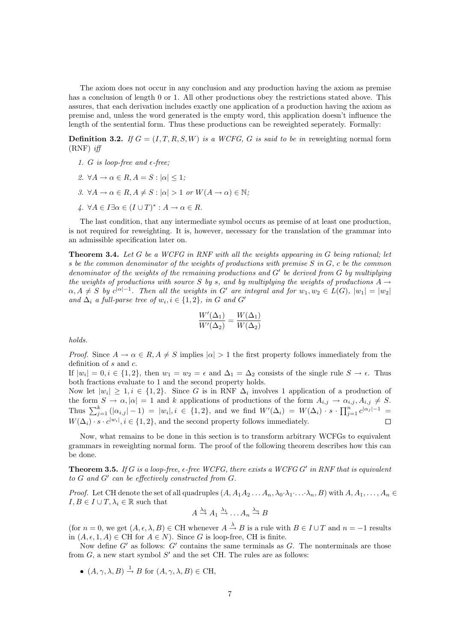The axiom does not occur in any conclusion and any production having the axiom as premise has a conclusion of length 0 or 1. All other productions obey the restrictions stated above. This assures, that each derivation includes exactly one application of a production having the axiom as premise and, unless the word generated is the empty word, this application doesn't influence the length of the sentential form. Thus these productions can be reweighted seperately. Formally:

**Definition 3.2.** If  $G = (I, T, R, S, W)$  is a WCFG, G is said to be in reweighting normal form  $(RNF)$  iff

- 1. G is loop-free and  $\epsilon$ -free;
- 2.  $\forall A \rightarrow \alpha \in R, A = S : |\alpha| \leq 1$ ;
- 3.  $\forall A \rightarrow \alpha \in R, A \neq S : |\alpha| > 1$  or  $W(A \rightarrow \alpha) \in \mathbb{N}$ ;
- 4.  $\forall A \in I \exists \alpha \in (I \cup T)^* : A \to \alpha \in R$ .

The last condition, that any intermediate symbol occurs as premise of at least one production, is not required for reweighting. It is, however, necessary for the translation of the grammar into an admissible specification later on.

Theorem 3.4. Let G be a WCFG in RNF with all the weights appearing in G being rational; let s be the common denominator of the weights of productions with premise  $S$  in  $G$ , c be the common denominator of the weights of the remaining productions and  $G'$  be derived from  $G$  by multiplying the weights of productions with source S by s, and by multiplying the weights of productions  $A \rightarrow$  $\alpha, A \neq S$  by  $c^{|\alpha|-1}$ . Then all the weights in G' are integral and for  $w_1, w_2 \in L(G)$ ,  $|w_1| = |w_2|$ and  $\Delta_i$  a full-parse tree of  $w_i, i \in \{1, 2\}$ , in G and G'

$$
\frac{W'(\Delta_1)}{W'(\Delta_2)} = \frac{W(\Delta_1)}{W(\Delta_2)}
$$

holds.

*Proof.* Since  $A \to \alpha \in R$ ,  $A \neq S$  implies  $|\alpha| > 1$  the first property follows immediately from the definition of s and c.

If  $|w_i| = 0, i \in \{1, 2\}$ , then  $w_1 = w_2 = \epsilon$  and  $\Delta_1 = \Delta_2$  consists of the single rule  $S \to \epsilon$ . Thus both fractions evaluate to 1 and the second property holds.

Now let  $|w_i| \geq 1, i \in \{1,2\}$ . Since G is in RNF  $\Delta_i$  involves 1 application of a production of the form  $S \to \alpha, |\alpha| = 1$  and k applications of productions of the form  $A_{i,j} \to \alpha_{i,j}, A_{i,j} \neq S$ . Thus  $\sum_{j=1}^k (|\alpha_{i,j}| - 1) = |w_i|, i \in \{1,2\}$ , and we find  $W'(\Delta_i) = W(\Delta_i) \cdot s \cdot \prod_{j=1}^n c^{|\alpha_j|-1} =$  $W(\Delta_i) \cdot s \cdot c^{|w_i|}, i \in \{1,2\},\$ and the second property follows immediately.

Now, what remains to be done in this section is to transform arbitrary WCFGs to equivalent grammars in reweighting normal form. The proof of the following theorem describes how this can be done.

**Theorem 3.5.** If G is a loop-free,  $\epsilon$ -free WCFG, there exists a WCFG G' in RNF that is equivalent to  $G$  and  $G'$  can be effectively constructed from  $G$ .

*Proof.* Let CH denote the set of all quadruples  $(A, A_1A_2 \ldots A_n, \lambda_0 \cdot \lambda_1 \ldots \cdot \lambda_n, B)$  with  $A, A_1, \ldots, A_n \in$  $I, B \in I \cup T, \lambda_i \in \mathbb{R}$  such that

$$
A \stackrel{\lambda_0}{\rightarrow} A_1 \stackrel{\lambda_1}{\rightarrow} \dots A_n \stackrel{\lambda_n}{\rightarrow} B
$$

(for  $n = 0$ , we get  $(A, \epsilon, \lambda, B) \in \mathrm{CH}$  whenever  $A \stackrel{\lambda}{\to} B$  is a rule with  $B \in I \cup T$  and  $n = -1$  results in  $(A, \epsilon, 1, A) \in \mathrm{CH}$  for  $A \in N$ ). Since G is loop-free, CH is finite.

Now define  $G'$  as follows:  $G'$  contains the same terminals as  $G$ . The nonterminals are those from  $G$ , a new start symbol  $S'$  and the set CH. The rules are as follows:

•  $(A, \gamma, \lambda, B) \stackrel{1}{\rightarrow} B$  for  $(A, \gamma, \lambda, B) \in \mathrm{CH}$ ,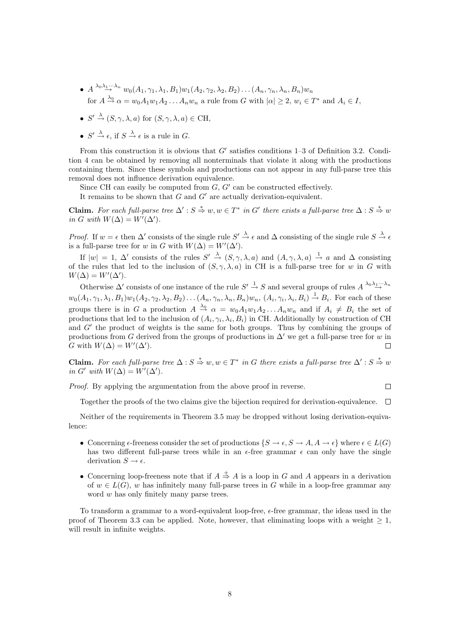- $A \stackrel{\lambda_0 \lambda_1 \cdots \lambda_n}{\rightarrow} w_0(A_1, \gamma_1, \lambda_1, B_1)w_1(A_2, \gamma_2, \lambda_2, B_2) \ldots (A_n, \gamma_n, \lambda_n, B_n)w_n$ for  $A \stackrel{\lambda_0}{\rightarrow} \alpha = w_0 A_1 w_1 A_2 \dots A_n w_n$  a rule from G with  $|\alpha| \geq 2$ ,  $w_i \in T^*$  and  $A_i \in I$ ,
- $S' \stackrel{\lambda}{\rightarrow} (S, \gamma, \lambda, a)$  for  $(S, \gamma, \lambda, a) \in \mathrm{CH}$ ,
- $S' \xrightarrow{\lambda} \epsilon$ , if  $S \xrightarrow{\lambda} \epsilon$  is a rule in G.

From this construction it is obvious that  $G'$  satisfies conditions 1-3 of Definition 3.2. Condition 4 can be obtained by removing all nonterminals that violate it along with the productions containing them. Since these symbols and productions can not appear in any full-parse tree this removal does not influence derivation equivalence.

Since CH can easily be computed from  $G, G'$  can be constructed effectively.

It remains to be shown that  $G$  and  $G'$  are actually derivation-equivalent.

Claim. For each full-parse tree  $\Delta'$ :  $S \stackrel{*}{\Rightarrow} w, w \in T^*$  in G' there exists a full-parse tree  $\Delta : S \stackrel{*}{\Rightarrow} w$ in G with  $W(\Delta) = W'(\Delta')$ .

*Proof.* If  $w = \epsilon$  then  $\Delta'$  consists of the single rule  $S' \stackrel{\lambda}{\rightarrow} \epsilon$  and  $\Delta$  consisting of the single rule  $S \stackrel{\lambda}{\rightarrow} \epsilon$ is a full-parse tree for w in G with  $W(\Delta) = W'(\Delta').$ 

If  $|w| = 1$ ,  $\Delta'$  consists of the rules  $S' \stackrel{\lambda}{\to} (S, \gamma, \lambda, a)$  and  $(A, \gamma, \lambda, a) \stackrel{1}{\to} a$  and  $\Delta$  consisting of the rules that led to the inclusion of  $(S, \gamma, \lambda, a)$  in CH is a full-parse tree for w in G with  $W(\Delta) = W'(\Delta').$ 

Otherwise  $\Delta'$  consists of one instance of the rule  $S' \stackrel{1}{\rightarrow} S$  and several groups of rules  $A \stackrel{\lambda_0 \lambda_1 \cdots \lambda_n}{\rightarrow}$  $w_0(A_1, \gamma_1, \lambda_1, B_1)w_1(A_2, \gamma_2, \lambda_2, B_2)\ldots(A_n, \gamma_n, \lambda_n, B_n)w_n, (A_i, \gamma_i, \lambda_i, B_i) \stackrel{1}{\rightarrow} B_i$ . For each of these groups there is in G a production  $A \stackrel{\lambda_0}{\rightarrow} \alpha = w_0 A_1 w_1 A_2 ... A_n w_n$  and if  $A_i \neq B_i$  the set of productions that led to the inclusion of  $(A_i, \gamma_i, \lambda_i, B_i)$  in CH. Additionally by construction of CH and  $G'$  the product of weights is the same for both groups. Thus by combining the groups of productions from G derived from the groups of productions in  $\Delta'$  we get a full-parse tree for w in G with  $W(\Delta) = W'(\Delta').$  $\Box$ 

Claim. For each full-parse tree  $\Delta$ :  $S \stackrel{*}{\Rightarrow} w, w \in T^*$  in G there exists a full-parse tree  $\Delta'$ :  $S \stackrel{*}{\Rightarrow} w$ in G' with  $W(\Delta) = W'(\Delta').$ 

Proof. By applying the argumentation from the above proof in reverse.

 $\Box$ 

Together the proofs of the two claims give the bijection required for derivation-equivalence.  $\Box$ 

Neither of the requirements in Theorem 3.5 may be dropped without losing derivation-equivalence:

- Concerning  $\epsilon$ -freeness consider the set of productions  $\{S \to \epsilon, S \to A, A \to \epsilon\}$  where  $\epsilon \in L(G)$ has two different full-parse trees while in an  $\epsilon$ -free grammar  $\epsilon$  can only have the single derivation  $S \to \epsilon$ .
- Concerning loop-freeness note that if  $A \stackrel{+}{\Rightarrow} A$  is a loop in G and A appears in a derivation of  $w \in L(G)$ , w has infinitely many full-parse trees in G while in a loop-free grammar any word w has only finitely many parse trees.

To transform a grammar to a word-equivalent loop-free,  $\epsilon$ -free grammar, the ideas used in the proof of Theorem 3.3 can be applied. Note, however, that eliminating loops with a weight  $\geq 1$ , will result in infinite weights.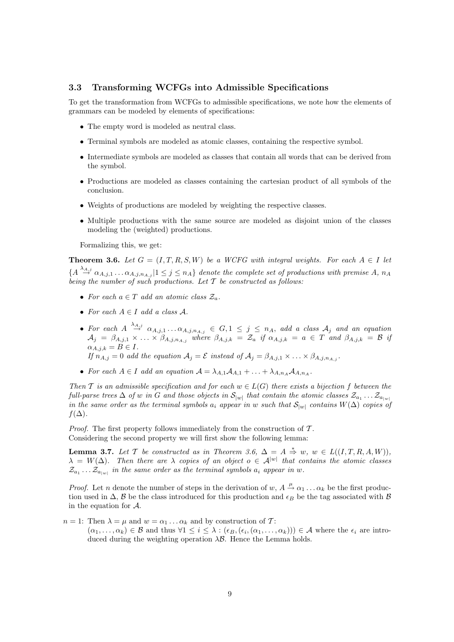### 3.3 Transforming WCFGs into Admissible Specifications

To get the transformation from WCFGs to admissible specifications, we note how the elements of grammars can be modeled by elements of specifications:

- The empty word is modeled as neutral class.
- Terminal symbols are modeled as atomic classes, containing the respective symbol.
- Intermediate symbols are modeled as classes that contain all words that can be derived from the symbol.
- Productions are modeled as classes containing the cartesian product of all symbols of the conclusion.
- Weights of productions are modeled by weighting the respective classes.
- Multiple productions with the same source are modeled as disjoint union of the classes modeling the (weighted) productions.

Formalizing this, we get:

**Theorem 3.6.** Let  $G = (I, T, R, S, W)$  be a WCFG with integral weights. For each  $A \in I$  let  ${A \overset{\lambda_{A,j}}{\rightarrow} \alpha_{A,j,1} \dots \alpha_{A,j,n_{A,j}} | 1 \leq j \leq n_A}$  denote the complete set of productions with premise A,  $n_A$ being the number of such productions. Let  $T$  be constructed as follows:

- For each  $a \in T$  add an atomic class  $\mathcal{Z}_a$ .
- For each  $A \in I$  add a class  $A$ .
- For each  $A \stackrel{\lambda_{A,j}}{\rightarrow} \alpha_{A,j,1} \ldots \alpha_{A,j,n_{A,j}} \in G, 1 \leq j \leq n_A$ , add a class  $A_j$  and an equation  $A_j = \beta_{A,j,1} \times \ldots \times \beta_{A,j,n_{A,j}}$  where  $\beta_{A,j,k} = \mathcal{Z}_a$  if  $\alpha_{A,j,k} = a \in T$  and  $\beta_{A,j,k} = \mathcal{B}$  if  $\alpha_{A,i,k} = B \in I.$ If  $n_{A,j} = 0$  add the equation  $A_j = \mathcal{E}$  instead of  $A_j = \beta_{A,j,1} \times \ldots \times \beta_{A,j,n_A,j}$ .
- 
- For each  $A \in I$  add an equation  $A = \lambda_{A,1}A_{A,1} + \ldots + \lambda_{A,n_A}A_{A,n_A}$ .

Then T is an admissible specification and for each  $w \in L(G)$  there exists a bijection f between the full-parse trees  $\Delta$  of  $w$  in  $G$  and those objects in  $\mathcal{S}_{|w|}$  that contain the atomic classes  $\mathcal{Z}_{a_1} \ldots \mathcal{Z}_{a_{|w|}}$ in the same order as the terminal symbols  $a_i$  appear in w such that  $\mathcal{S}_{|w|}$  contains  $W(\Delta)$  copies of  $f(\Delta)$ .

*Proof.* The first property follows immediately from the construction of  $\mathcal{T}$ . Considering the second property we will first show the following lemma:

**Lemma 3.7.** Let T be constructed as in Theorem 3.6,  $\Delta = A \stackrel{*}{\Rightarrow} w$ ,  $w \in L((I, T, R, A, W))$ ,  $\lambda = W(\Delta)$ . Then there are  $\lambda$  copies of an object  $o \in \mathcal{A}^{|w|}$  that contains the atomic classes  $\mathcal{Z}_{a_1} \dots \mathcal{Z}_{a_{|w|}}$  in the same order as the terminal symbols  $a_i$  appear in w.

*Proof.* Let n denote the number of steps in the derivation of  $w, A \stackrel{\mu}{\rightarrow} \alpha_1 \dots \alpha_k$  be the first production used in  $\Delta$ , B be the class introduced for this production and  $\epsilon_B$  be the tag associated with B in the equation for A.

 $n = 1$ : Then  $\lambda = \mu$  and  $w = \alpha_1 \ldots \alpha_k$  and by construction of T:

 $(\alpha_1,\ldots,\alpha_k)\in\mathcal{B}$  and thus  $\forall 1\leq i\leq\lambda:(\epsilon_B,(\epsilon_i,(\alpha_1,\ldots,\alpha_k)))\in\mathcal{A}$  where the  $\epsilon_i$  are introduced during the weighting operation  $\lambda \mathcal{B}$ . Hence the Lemma holds.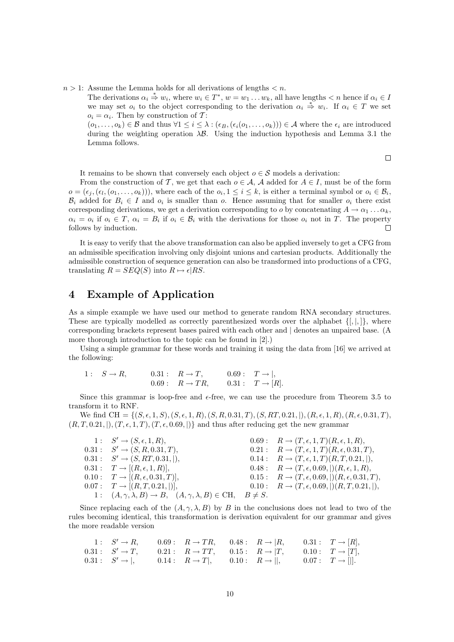$n > 1$ : Assume the Lemma holds for all derivations of lengths  $\lt n$ .

The derivations  $\alpha_i \stackrel{*}{\Rightarrow} w_i$ , where  $w_i \in T^*$ ,  $w = w_1 \dots w_k$ , all have lengths  $\lt n$  hence if  $\alpha_i \in I$ we may set  $o_i$  to the object corresponding to the derivation  $\alpha_i \stackrel{*}{\Rightarrow} w_i$ . If  $\alpha_i \in T$  we set  $o_i = \alpha_i$ . Then by construction of T:

 $(o_1, \ldots, o_k) \in \mathcal{B}$  and thus  $\forall 1 \leq i \leq \lambda : (\epsilon_B, (\epsilon_i(o_1, \ldots, o_k))) \in \mathcal{A}$  where the  $\epsilon_i$  are introduced during the weighting operation  $\lambda \mathcal{B}$ . Using the induction hypothesis and Lemma 3.1 the Lemma follows.

 $\Box$ 

It remains to be shown that conversely each object  $o \in \mathcal{S}$  models a derivation:

From the construction of T, we get that each  $o \in A$ , A added for  $A \in I$ , must be of the form  $o = (\epsilon_j, (\epsilon_l, (o_1, \ldots, o_k)))$ , where each of the  $o_i, 1 \leq i \leq k$ , is either a terminal symbol or  $o_i \in \mathcal{B}_i$ ,  $\mathcal{B}_i$  added for  $B_i \in I$  and  $o_i$  is smaller than o. Hence assuming that for smaller  $o_i$  there exist corresponding derivations, we get a derivation corresponding to o by concatenating  $A \to \alpha_1 \dots \alpha_k$ ,  $\alpha_i = o_i$  if  $o_i \in T$ ,  $\alpha_i = B_i$  if  $o_i \in B_i$  with the derivations for those  $o_i$  not in T. The property follows by induction.  $\Box$ 

It is easy to verify that the above transformation can also be applied inversely to get a CFG from an admissible specification involving only disjoint unions and cartesian products. Additionally the admissible construction of sequence generation can also be transformed into productions of a CFG, translating  $R = SEQ(S)$  into  $R \mapsto \epsilon | RS$ .

# 4 Example of Application

As a simple example we have used our method to generate random RNA secondary structures. These are typically modelled as correctly parenthesized words over the alphabet  $\{[, ,.\}$ , where corresponding brackets represent bases paired with each other and | denotes an unpaired base. (A more thorough introduction to the topic can be found in [2].)

Using a simple grammar for these words and training it using the data from [16] we arrived at the following:

1 :  $S \to R$ , 0.31 :  $R \to T$ , 0.69 :  $T \to |$ ,  $0.69: \quad R \to TR, \quad 0.31: \quad T \to [R].$ 

Since this grammar is loop-free and  $\epsilon$ -free, we can use the procedure from Theorem 3.5 to transform it to RNF.

We find CH = { $(S, \epsilon, 1, S)$ ,  $(S, \epsilon, 1, R)$ ,  $(S, R, 0.31, T)$ ,  $(S, RT, 0.21, ...)$ ,  $(R, \epsilon, 1, R)$ ,  $(R, \epsilon, 0.31, T)$ ,  $(R, T, 0.21, |), (T, \epsilon, 1, T), (T, \epsilon, 0.69, |)\}$  and thus after reducing get the new grammar

| $1: S' \rightarrow (S, \epsilon, 1, R),$                                                            | $0.69: \quad R \rightarrow (T, \epsilon, 1, T)(R, \epsilon, 1, R),$      |
|-----------------------------------------------------------------------------------------------------|--------------------------------------------------------------------------|
| $0.31: S' \rightarrow (S, R, 0.31, T),$                                                             | $0.21: R \to (T, \epsilon, 1, T)(R, \epsilon, 0.31, T),$                 |
| $0.31: S' \rightarrow (S, RT, 0.31,  ),$                                                            | $0.14: \quad R \to (T, \epsilon, 1, T)(R, T, 0.21,  ),$                  |
| $0.31: T \rightarrow [(R, \epsilon, 1, R)],$                                                        | $0.48: \quad R \to (T, \epsilon, 0.69, \mathcal{C})(R, \epsilon, 1, R),$ |
| $0.10: T \to [(R, \epsilon, 0.31, T)],$                                                             | $0.15: \quad R \to (T, \epsilon, 0.69, \mathcal{R}, \epsilon, 0.31, T),$ |
| $0.07: T \rightarrow [(R, T, 0.21,$ ],                                                              | $0.10: \quad R \to (T, \epsilon, 0.69, \vert)(R, T, 0.21, \vert),$       |
| 1: $(A, \gamma, \lambda, B) \rightarrow B$ , $(A, \gamma, \lambda, B) \in \text{CH}$ , $B \neq S$ . |                                                                          |

Since replacing each of the  $(A, \gamma, \lambda, B)$  by B in the conclusions does not lead to two of the rules becoming identical, this transformation is derivation equivalent for our grammar and gives the more readable version

1: 
$$
S' \to R
$$
, 0.69:  $R \to TR$ , 0.48:  $R \to |R$ , 0.31:  $T \to [R]$ ,  
\n0.31:  $S' \to T$ , 0.21:  $R \to TT$ , 0.15:  $R \to |T$ , 0.10:  $T \to [T]$ ,  
\n0.31:  $S' \to |$ , 0.14:  $R \to T|$ , 0.10:  $R \to ||$ , 0.07:  $T \to |||$ .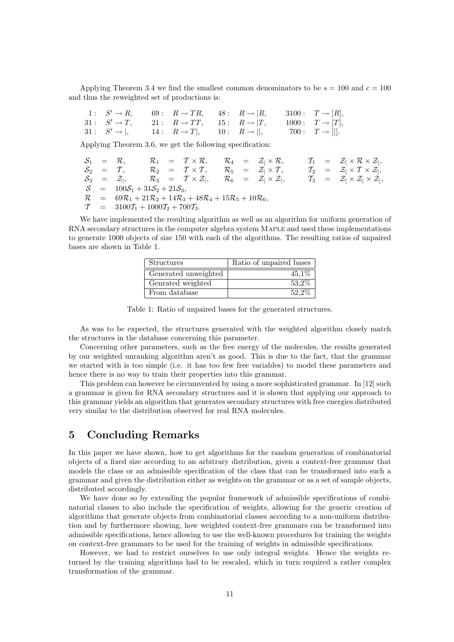Applying Theorem 3.4 we find the smallest common denominators to be  $s = 100$  and  $c = 100$ and thus the reweighted set of productions is:

|  |  | 1: $S' \rightarrow R$ , 69: $R \rightarrow TR$ , 48: $R \rightarrow  R$ , 3100: $T \rightarrow  R $ , |  |
|--|--|-------------------------------------------------------------------------------------------------------|--|
|  |  | 31: $S' \to T$ , 21: $R \to TT$ , 15: $R \to  T$ , 1000: $T \to  T $ ,                                |  |
|  |  | 31: $S' \rightarrow  $ , 14: $R \rightarrow T $ , 10: $R \rightarrow   $ , 700: $T \rightarrow   $ .  |  |

Applying Theorem 3.6, we get the following specification:

S<sup>1</sup> = R, R<sup>1</sup> = T × R, R<sup>4</sup> = Z<sup>|</sup> × R, T<sup>1</sup> = Z[ × R × Z] , S<sup>2</sup> = T , R<sup>2</sup> = T × T , R<sup>5</sup> = Z<sup>|</sup> × T , T<sup>2</sup> = Z[ × T × Z] , S<sup>3</sup> = Z<sup>|</sup> , R<sup>3</sup> = T × Z<sup>|</sup> , R<sup>6</sup> = Z<sup>|</sup> × Z<sup>|</sup> , T<sup>3</sup> = Z[ × Z<sup>|</sup> × Z] , S = 100S<sup>1</sup> + 31S<sup>2</sup> + 21S3, R = 69R<sup>1</sup> + 21R<sup>2</sup> + 14R<sup>3</sup> + 48R<sup>4</sup> + 15R<sup>5</sup> + 10R6, T = 3100T<sup>1</sup> + 1000T<sup>2</sup> + 700T3.

We have implemented the resulting algorithm as well as an algorithm for uniform generation of RNA secondary structures in the computer algebra system MAPLE and used these implementations to generate 1000 objects of size 150 with each of the algorithms. The resulting ratios of unpaired bases are shown in Table 1.

| <b>Structures</b>    | Ratio of unpaired bases |
|----------------------|-------------------------|
| Generated unweighted | 45,1%                   |
| Genrated weighted    | 53.2%                   |
| From database        | 52.2%                   |

Table 1: Ratio of unpaired bases for the generated structures.

As was to be expected, the structures generated with the weighted algorithm closely match the structures in the database concerning this parameter.

Concerning other parameters, such as the free energy of the molecules, the results generated by our weighted unranking algorithm aren't as good. This is due to the fact, that the grammar we started with is too simple (i.e. it has too few free variables) to model these parameters and hence there is no way to train their properties into this grammar.

This problem can however be circumvented by using a more sophisticated grammar. In [12] such a grammar is given for RNA secondary structures and it is shown that applying our approach to this grammar yields an algorithm that generates secondary structures with free energies distributed very similar to the distribution observed for real RNA molecules.

# 5 Concluding Remarks

In this paper we have shown, how to get algorithms for the random generation of combinatorial objects of a fixed size according to an arbitrary distribution, given a context-free grammar that models the class or an admissible specification of the class that can be transformed into such a grammar and given the distribution either as weights on the grammar or as a set of sample objects, distributed accordingly.

We have done so by extending the popular framework of admissible specifications of combinatorial classes to also include the specification of weights, allowing for the generic creation of algorithms that generate objects from combinatorial classes according to a non-uniform distribution and by furthermore showing, how weighted context-free grammars can be transformed into admissible specifications, hence allowing to use the well-known procedures for training the weights on context-free grammars to be used for the training of weights in admissible specifications.

However, we had to restrict ourselves to use only integral weights. Hence the weights returned by the training algorithms had to be rescaled, which in turn required a rather complex transformation of the grammar.